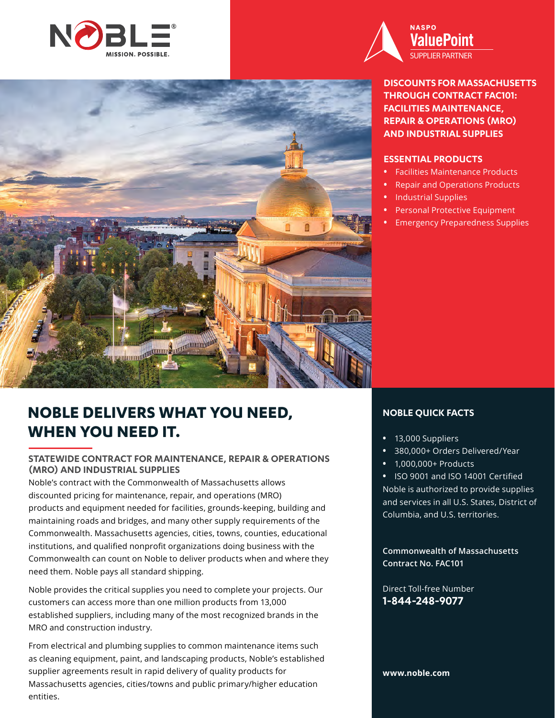



**DISCOUNTS FOR MASSACHUSETTS THROUGH CONTRACT FAC101: FACILITIES MAINTENANCE, REPAIR & OPERATIONS (MRO) AND INDUSTRIAL SUPPLIES**

#### **ESSENTIAL PRODUCTS**

- **•** Facilities Maintenance Products
- **•** Repair and Operations Products
- **•** Industrial Supplies
- **•** Personal Protective Equipment
- **•** Emergency Preparedness Supplies

# **NOBLE DELIVERS WHAT YOU NEED, WHEN YOU NEED IT.**

**Allen Stranger Stranger** 

### **STATEWIDE CONTRACT FOR MAINTENANCE, REPAIR & OPERATIONS (MRO) AND INDUSTRIAL SUPPLIES**

Noble's contract with the Commonwealth of Massachusetts allows discounted pricing for maintenance, repair, and operations (MRO) products and equipment needed for facilities, grounds-keeping, building and maintaining roads and bridges, and many other supply requirements of the Commonwealth. Massachusetts agencies, cities, towns, counties, educational institutions, and qualified nonprofit organizations doing business with the Commonwealth can count on Noble to deliver products when and where they need them. Noble pays all standard shipping.

Noble provides the critical supplies you need to complete your projects. Our customers can access more than one million products from 13,000 established suppliers, including many of the most recognized brands in the MRO and construction industry.

From electrical and plumbing supplies to common maintenance items such as cleaning equipment, paint, and landscaping products, Noble's established supplier agreements result in rapid delivery of quality products for Massachusetts agencies, cities/towns and public primary/higher education entities.

## **NOBLE QUICK FACTS**

- **•** 13,000 Suppliers
- **•** 380,000+ Orders Delivered/Year
- **•** 1,000,000+ Products

**•** ISO 9001 and ISO 14001 Certified Noble is authorized to provide supplies and services in all U.S. States, District of Columbia, and U.S. territories.

**Commonwealth of Massachusetts Contract No. FAC101**

Direct Toll-free Number **1-844-248-9077**

**www.noble.com**